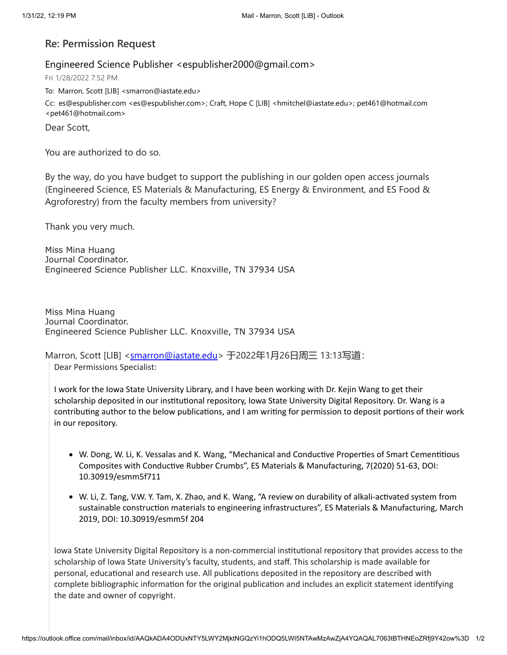## **Re: Permission Request**

## Engineered Science Publisher <espublisher2000@gmail.com>

Fri 1/28/2022 7:52 PM

To: Marron, Scott [LIB] <smarron@iastate.edu>

Cc: es@espublisher.com <es@espublisher.com>; Craft, Hope C [LIB] <hmitchel@iastate.edu>; pet461@hotmail.com <pet461@hotmail.com>

Dear Scott,

You are authorized to do so.

By the way, do you have budget to support the publishing in our golden open access journals (Engineered Science, ES Materials & Manufacturing, ES Energy & Environment, and ES Food & Agroforestry) from the faculty members from university?

Thank you very much.

Miss Mina Huang Journal Coordinator. Engineered Science Publisher LLC. Knoxville, TN 37934 USA

Miss Mina Huang Journal Coordinator. Engineered Science Publisher LLC. Knoxville, TN 37934 USA

Marron, Scott [LIB] <<u>smarron@iastate.edu</u>> 于2022年1月26日周三 13:13写道:

Dear Permissions Specialist:

I work for the Iowa State University Library, and I have been working with Dr. Kejin Wang to get their scholarship deposited in our institutional repository, Iowa State University Digital Repository. Dr. Wang is a contributing author to the below publications, and I am writing for permission to deposit portions of their work in our repository.

- W. Dong, W. Li, K. Vessalas and K. Wang, "Mechanical and Conductive Properties of Smart Cementitious Composites with Conductive Rubber Crumbs", ES Materials & Manufacturing, 7(2020) 51-63, DOI: 10.30919/esmm5f711
- W. Li, Z. Tang, V.W. Y. Tam, X. Zhao, and K. Wang, "A review on durability of alkali-activated system from sustainable construction materials to engineering infrastructures", ES Materials & Manufacturing, March 2019, DOI: 10.30919/esmm5f 204

Iowa State University Digital Repository is a non-commercial institutional repository that provides access to the scholarship of Iowa State University's faculty, students, and staff. This scholarship is made available for personal, educational and research use. All publications deposited in the repository are described with complete bibliographic information for the original publication and includes an explicit statement identifying the date and owner of copyright.